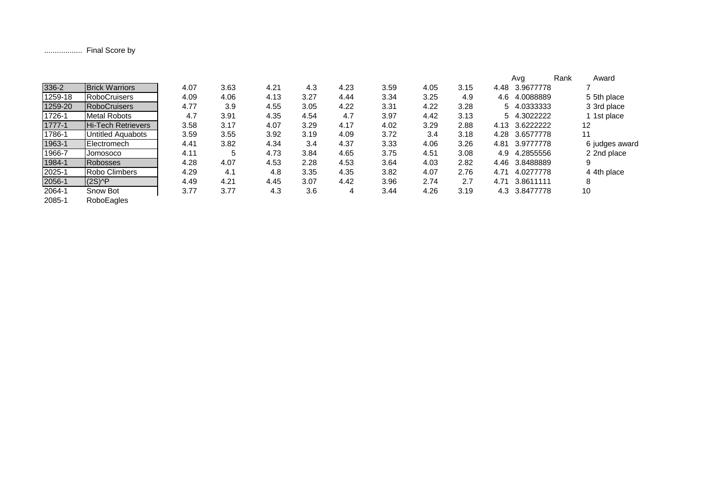.................. Final Score by

|           |                           |      |      |      |      |      |      |      |      |      | Ava             | Rank | Award          |
|-----------|---------------------------|------|------|------|------|------|------|------|------|------|-----------------|------|----------------|
| 336-2     | <b>Brick Warriors</b>     | 4.07 | 3.63 | 4.21 | 4.3  | 4.23 | 3.59 | 4.05 | 3.15 | 4.48 | 3.9677778       |      |                |
| 1259-18   | <b>RoboCruisers</b>       | 4.09 | 4.06 | 4.13 | 3.27 | 4.44 | 3.34 | 3.25 | 4.9  | 4.6  | 4.0088889       |      | 5 5th place    |
| 1259-20   | <b>RoboCruisers</b>       | 4.77 | 3.9  | 4.55 | 3.05 | 4.22 | 3.31 | 4.22 | 3.28 | 5.   | 4.0333333       |      | 3 3rd place    |
| 1726-1    | <b>Metal Robots</b>       | 4.7  | 3.91 | 4.35 | 4.54 | 4.7  | 3.97 | 4.42 | 3.13 |      | 5 4.3022222     |      | 1st place      |
| 1777-1    | <b>Hi-Tech Retrievers</b> | 3.58 | 3.17 | 4.07 | 3.29 | 4.17 | 4.02 | 3.29 | 2.88 |      | 4.13 3.62222222 |      | 12             |
| 1786-1    | <b>Untitled Aquabots</b>  | 3.59 | 3.55 | 3.92 | 3.19 | 4.09 | 3.72 | 3.4  | 3.18 | 4.28 | 3.6577778       |      | 11             |
| 1963-1    | Electromech               | 4.41 | 3.82 | 4.34 | 3.4  | 4.37 | 3.33 | 4.06 | 3.26 | 4.81 | 3.9777778       |      | 6 judges award |
| 1966-7    | Jomosoco                  | 4.11 | 5    | 4.73 | 3.84 | 4.65 | 3.75 | 4.51 | 3.08 | 4.9  | 4.2855556       |      | 2 2nd place    |
| 1984-1    | <b>Robosses</b>           | 4.28 | 4.07 | 4.53 | 2.28 | 4.53 | 3.64 | 4.03 | 2.82 | 4.46 | 3.8488889       |      |                |
| 2025-1    | Robo Climbers             | 4.29 | 4.1  | 4.8  | 3.35 | 4.35 | 3.82 | 4.07 | 2.76 | 4.71 | 4.0277778       |      | 4 4th place    |
| 2056-1    | $(2S)$ <sup>^</sup> P     | 4.49 | 4.21 | 4.45 | 3.07 | 4.42 | 3.96 | 2.74 | 2.7  | 4.71 | 3.8611111       |      | 8              |
| 2064-1    | Snow Bot                  | 3.77 | 3.77 | 4.3  | 3.6  | 4    | 3.44 | 4.26 | 3.19 |      | 4.3 3.8477778   |      | 10             |
| $- - - -$ |                           |      |      |      |      |      |      |      |      |      |                 |      |                |

2085-1 RoboEagles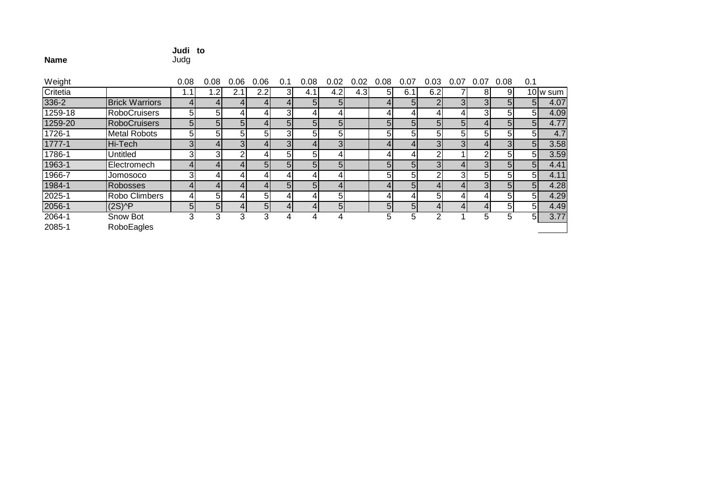#### **Judi to**

#### **Name**e Judg

| Weight   |                       | 0.08           | 0.08           | 0.06           | 0.06           | 0.1 | 0.08           | 0.02           | 0.02             | 0.08 | 0.07           | 0.03           | 0.07 | 0.07           | 0.08 | 0.1            |          |
|----------|-----------------------|----------------|----------------|----------------|----------------|-----|----------------|----------------|------------------|------|----------------|----------------|------|----------------|------|----------------|----------|
| Critetia |                       |                | .2             | 2.1            | 2.2            | ЗI  | 4.11           | 4.2            | 4.3 <sub>l</sub> | 5    | 6.1            | 6.2            |      | 81             | 91   |                | 10 w sum |
| 336-2    | <b>Brick Warriors</b> | 4              | 41             | 4              |                |     | 5              | 51             |                  |      | 5 <sub>l</sub> | ⌒              |      | 3 <sup>l</sup> | 51   | 5 <sub>l</sub> | 4.07     |
| 1259-18  | <b>RoboCruisers</b>   | 51             | 51             | ⊿              |                |     |                | Δ              |                  |      | 4              | 4              |      | 3              | 51   | 51             | 4.09     |
| 1259-20  | <b>RoboCruisers</b>   | 5 <sub>l</sub> | 5 <sub>l</sub> | 5              |                |     | 5              | 5 <sup>1</sup> |                  | 5    | 5              | 5 <sub>l</sub> | 51   | 4              | 5    | 5 <sub>l</sub> | 4.77     |
| 1726-1   | <b>Metal Robots</b>   | 5 <sub>1</sub> | 51             | 5              | 51             |     | 5              | 51             |                  | 5    | 5              | 5              | 51   | 5              | 51   | 51             | 4.7      |
| 1777-1   | Hi-Tech               | 3.             | 41             | 3 <sup>1</sup> |                |     | 4              | $\overline{3}$ |                  |      | 4              | 3 <sub>l</sub> |      | 4              |      | 5 <sub>l</sub> | 3.58     |
| 1786-1   | Untitled              | 3.             | 3              | ⌒              |                | 51  | 5              | Δ              |                  |      | 4              | 2              |      | ⌒              | 51   | 51             | 3.59     |
| 1963-1   | Electromech           | 4              | 4              | Δ              | 5              |     | 5              | 5              |                  | 5    | 5              | $\overline{3}$ |      | 3              | 51   | 5 <sup>5</sup> | 4.41     |
| 1966-7   | Jomosoco              |                |                |                |                |     |                |                |                  | 5    | 5              |                |      | 5              | 51   | 51             | 4.11     |
| 1984-1   | Robosses              |                |                |                |                | 51  | 5              | 4              |                  |      | 5 <sub>l</sub> | 4              |      | $\mathbf{3}$   | 51   | 5 <sub>l</sub> | 4.28     |
| 2025-1   | Robo Climbers         | 4              | 51             |                | 51             |     | 4              | 5              |                  |      | 4              | 5              |      | 4              | 51   | 5 <sup>1</sup> | 4.29     |
| 2056-1   | $(2S)$ <sup>^</sup> P | 5              | 5 <sup>1</sup> | 4              | 5 <sub>l</sub> |     | $\overline{4}$ | 5              |                  | 5    | 5 <sub>l</sub> | $\overline{4}$ |      | 4              | 51   | 51             | 4.49     |
| 2064-1   | Snow Bot              | 3              | 3              | 3              | 3              |     |                | 4              |                  | 5    | 5              | っ              |      | 5              | :5   | 51             | 3.77     |
|          |                       |                |                |                |                |     |                |                |                  |      |                |                |      |                |      |                |          |

2085-1RoboEagles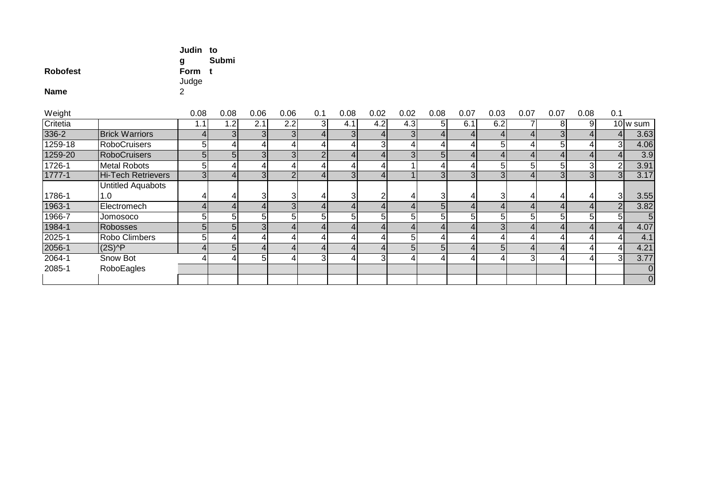| <b>Robofest</b><br><b>Name</b> |                           | Judin to<br>g<br>Form<br>Judge<br>2 | Submi<br>$\ddot{\phantom{1}}$ |                |                |                |                |                |                |                |                |                         |                |                |                |                |                |
|--------------------------------|---------------------------|-------------------------------------|-------------------------------|----------------|----------------|----------------|----------------|----------------|----------------|----------------|----------------|-------------------------|----------------|----------------|----------------|----------------|----------------|
| Weight                         |                           | 0.08                                | 0.08                          | 0.06           | 0.06           | 0.1            | 0.08           | 0.02           | 0.02           | 0.08           | 0.07           | 0.03                    | 0.07           | 0.07           | 0.08           | 0.1            |                |
| Critetia                       |                           | 1.1                                 | 1.2                           | 2.1            | 2.2            | 3 <sup>l</sup> | 4.1            | 4.2            | 4.3            | 5 <sup>1</sup> | 6.1            | 6.2                     | 7              | 8              | 9              |                | 10 w sum       |
| $336 - 2$                      | <b>Brick Warriors</b>     | $\overline{4}$                      | 3 <sub>l</sub>                | 3 <sup>1</sup> | $\overline{3}$ | 4 <sup>1</sup> | 3 <sup>1</sup> | $\overline{4}$ | 3 <sub>l</sub> | 4 <sub>l</sub> | $\overline{4}$ | $\vert 4 \vert$         | $\overline{4}$ | 3 <sub>l</sub> | 4              |                | 3.63           |
| 1259-18                        | <b>RoboCruisers</b>       | 5                                   |                               | $\frac{4}{ }$  | 4              | 4              | 4              | 3              |                | 4              |                | 5 <sup>1</sup>          | 4              | 5              |                | 3 <sup>l</sup> | 4.06           |
| 1259-20                        | <b>RoboCruisers</b>       | 5 <sub>5</sub>                      | 5 <sub>l</sub>                | 3 <sub>l</sub> | 3 <sub>l</sub> | 2 <sub>l</sub> | 4 <sub>l</sub> | $\overline{4}$ |                | 5 <sub>l</sub> | 4              | 4 <sub>1</sub>          | $\overline{4}$ | $\overline{4}$ |                | 4              | 3.9            |
| 1726-1                         | <b>Metal Robots</b>       | 5                                   |                               | 41             |                | 4              | 41             |                |                | 4              |                | 5 <sup>1</sup>          | 5 <sub>l</sub> | 5              | 3              | 2              | 3.91           |
| $1777 - 1$                     | <b>Hi-Tech Retrievers</b> | 3 <sub>l</sub>                      |                               | $\overline{3}$ | $\overline{2}$ | $\overline{4}$ | $\overline{3}$ | 4 <sup>1</sup> |                | 3 <sup>1</sup> | 3 <sub>l</sub> | $\overline{3}$          | 4 <sup>1</sup> | 3 <sub>l</sub> | $\overline{3}$ | 3 <sup>l</sup> | 3.17           |
|                                | <b>Untitled Aquabots</b>  |                                     |                               |                |                |                |                |                |                |                |                |                         |                |                |                |                |                |
| 1786-1                         | 1.0                       | 4                                   |                               | $\overline{3}$ | 3              | 4              | $\overline{3}$ | $\overline{2}$ |                | $\overline{3}$ | 4              | $\overline{3}$          | 4              | 4              |                | 31             | 3.55           |
| 1963-1                         | Electromech               | 4                                   |                               | 4 <sub>1</sub> | $\overline{3}$ | 4              | $\overline{4}$ | $\overline{4}$ |                | 5 <sub>l</sub> | 4              | $\overline{4}$          | $\overline{4}$ | $\overline{4}$ |                | 2              | 3.82           |
| 1966-7                         | Jomosoco                  | 5                                   | 51                            | 5 <sup>1</sup> | 5 <sup>1</sup> | 5 <sup>1</sup> | $\overline{5}$ | 5              | 5              | 5 <sup>1</sup> | 5              | $\overline{5}$          | $5\vert$       | 5              | 51             | 5 <sup>1</sup> | $\overline{5}$ |
| 1984-1                         | Robosses                  | 5 <sup>1</sup>                      | 5 <sub>l</sub>                | 3 <sup>1</sup> | 4              | $\overline{4}$ | $\overline{4}$ | $\overline{4}$ |                | $\overline{4}$ | 4              | $\overline{3}$          | 4              | 4              |                |                | 4.07           |
| $2025 - 1$                     | Robo Climbers             | 5                                   |                               | 4              | 4              | 4              | 4 <sub>1</sub> | 4              | 5              | $\overline{4}$ | 4              | $\overline{\mathbf{4}}$ | $\overline{4}$ | 4              |                | 4              | 4.1            |
| 2056-1                         | $(2S)$ <sup>^</sup> P     |                                     | 5 <sub>l</sub>                | 4 <sup>1</sup> | $\overline{4}$ | $\overline{4}$ | 4 <sup>1</sup> |                | 5 <sub>l</sub> | 5 <sub>1</sub> | $\overline{4}$ | $\overline{5}$          | $\overline{4}$ |                |                | $\overline{4}$ | 4.21           |
| $2064 - 1$                     | Snow Bot                  | 4                                   |                               | 51             | 4              | $\overline{3}$ | $\overline{4}$ | 3              |                | 4              | 4              | $\overline{4}$          | 3 <sup>l</sup> | 4              | 41             | ЗI             | 3.77           |
| 2085-1                         | RoboEagles                |                                     |                               |                |                |                |                |                |                |                |                |                         |                |                |                |                | $\mathbf 0$    |
|                                |                           |                                     |                               |                |                |                |                |                |                |                |                |                         |                |                |                |                | $\overline{0}$ |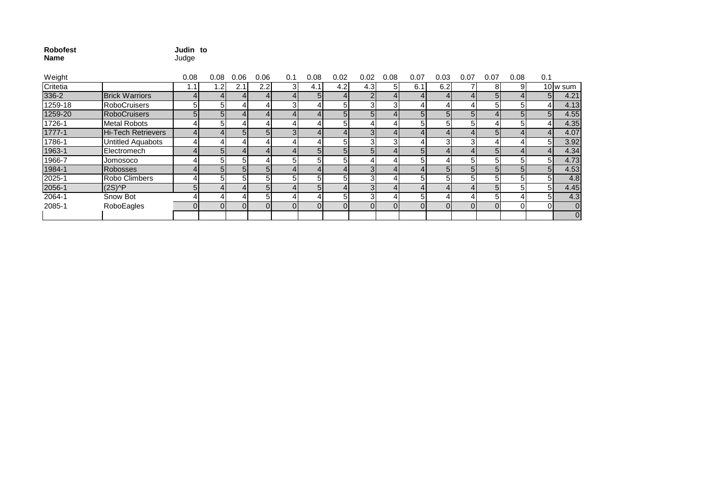| Robofest | Judin to |  |
|----------|----------|--|
| Name     | Judge    |  |

| Weight   |                                        | 0.08 | 0.08 | 0.06 | 0.06     | 0.1 | 0.08 | 0.02           | 0.02     | 0.08 | 0.07     | 0.03           | 0.07     | 0.07 | 0.08 | 0.1            |                |
|----------|----------------------------------------|------|------|------|----------|-----|------|----------------|----------|------|----------|----------------|----------|------|------|----------------|----------------|
| Critetia |                                        | . .  | .2   | 2.1  | 2.2      | 3.  | 4.1  | 4.2            | 4.3      | 51   | 6.1      | 6.2            |          | 8    | 9    |                | 10 w sum       |
| 336-2    | <b>Brick Warriors</b>                  |      |      |      |          |     |      |                |          |      |          |                |          |      |      | 5 <sub>l</sub> | 4.21           |
| 1259-18  | <b>RoboCruisers</b>                    | 5    |      |      |          |     |      | 51             |          |      |          |                |          | 51   |      |                | 4.13           |
| 1259-20  | <b>RoboCruisers</b>                    |      |      |      |          |     |      | 51             | ומ       |      |          | ומ             | ומ       |      |      | 5 <sub>l</sub> | 4.55           |
| 1726-1   | Metal Robots                           |      |      |      |          |     |      | ы              |          |      |          |                |          |      |      |                | 4.35           |
| 1777-1   | <b>Hi-Tech Retrievers</b>              |      |      |      | ור       |     |      |                |          |      |          |                |          | 5.   |      |                | 4.07           |
| 1786-1   | Untitled Aquabots                      |      |      |      |          |     |      | 5              |          |      |          |                |          |      |      | 51             | 3.92           |
| 1963-1   | Electromech                            |      |      |      |          |     | 51   | 51             | 51       |      |          |                |          |      |      |                | 4.34           |
| 1966-7   | Jomosoco                               |      |      | 51   |          |     |      | 51             |          |      |          |                |          | 51   |      | 51             | 4.73           |
| 1984-1   | <b>Robosses</b>                        |      |      | 51   |          |     |      |                |          |      |          | 5 <sup>1</sup> |          | 51   |      | 5 <sub>l</sub> | 4.53           |
| 2025-1   | Robo Climbers                          |      |      | 51   | ומ       | 51  |      | 51             |          |      | ומ       |                | ы        | 51   | 51   | 51             | 4.8            |
| 2056-1   | $(2S)$ <sup><math>\wedge</math>P</sup> | 5    |      |      |          |     |      |                |          |      |          |                |          | 5    |      | 51             | 4.45           |
| 2064-1   | Snow Bot                               |      |      |      |          |     |      | 51             |          |      |          |                |          |      |      | 51             | 4.3            |
| 2085-1   | RoboEagles                             |      |      | 01   | $\Omega$ |     |      | $\overline{0}$ | $\Omega$ |      | $\Omega$ | $\Omega$       | $\Omega$ |      |      | ΩI             | $\overline{0}$ |
|          |                                        |      |      |      |          |     |      |                |          |      |          |                |          |      |      |                | $\overline{0}$ |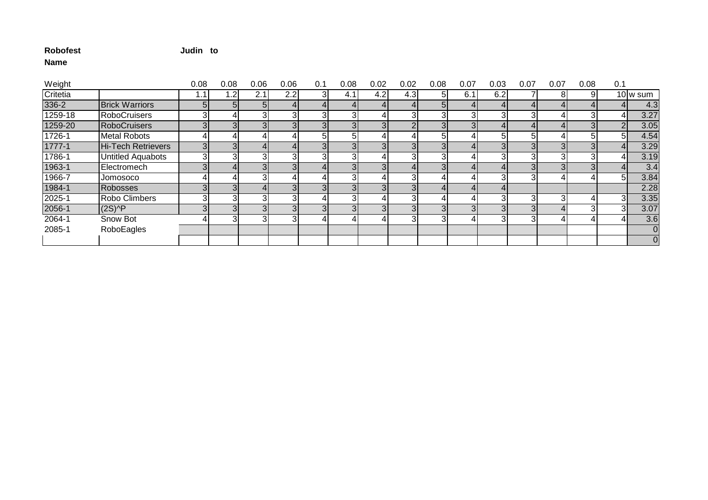# **Judin to**

| Weight    |                                        | 0.08 | 0.08 | 0.06 | 0.06           | 0.1            | 0.08           | 0.02 | 0.02 | 0.08           | 0.07           | 0.03           | 0.07 | 0.07                    | 0.08           | 0.1            |          |
|-----------|----------------------------------------|------|------|------|----------------|----------------|----------------|------|------|----------------|----------------|----------------|------|-------------------------|----------------|----------------|----------|
| Critetia  |                                        | 1.1  | .2   | 2.1  | 2.2            | 3              | 4.1            | 4.2  | 4.3  | 51             | 6.1            | 6.2            |      | 81                      | 9              |                | 10 w sum |
| $336 - 2$ | <b>Brick Warriors</b>                  |      |      |      | 4              | 41             |                |      |      | 5 <sub>l</sub> | $\overline{4}$ |                |      |                         |                |                | 4.3      |
| 1259-18   | <b>RoboCruisers</b>                    |      |      |      | 3              | $3 \mid$       |                |      | 31   |                | $\mathbf{3}$   |                |      |                         |                | 4              | 3.27     |
| 1259-20   | RoboCruisers                           |      |      |      | 3              | $\overline{3}$ | 3I             |      | ົ    | 3 <sub>l</sub> | $\mathbf{3}$   |                |      |                         | 3 <sub>l</sub> | $\Omega$       | 3.05     |
| 1726-1    | <b>Metal Robots</b>                    |      |      |      | 4              | 5 <sup>1</sup> | ы              |      |      | 5              |                |                |      |                         | -51            | $5 \mid$       | 4.54     |
| 1777-1    | Hi-Tech Retrievers                     |      |      |      | $\overline{4}$ | 3              | ЗI             |      | 31   | 3 <sub>l</sub> | 4              |                |      | $\overline{\mathbf{3}}$ |                | 4              | 3.29     |
| 1786-1    | <b>Untitled Aquabots</b>               |      |      |      | 3              | $3 \mid$       |                |      |      | 3              | 41             |                |      |                         | $\mathbf{3}$   |                | 3.19     |
| 1963-1    | Electromech                            |      |      |      | 3              |                |                |      |      | 3              |                |                |      |                         |                |                | 3.4      |
| 1966-7    | <b>Jomosoco</b>                        |      |      |      | 4              |                | 31             |      | 31   | 4              | 4              |                |      |                         |                | 5 <sup>1</sup> | 3.84     |
| 1984-1    | Robosses                               |      |      |      | 3 <sub>l</sub> | 3 <sup>1</sup> |                |      | 3    | 4              | 41             |                |      |                         |                |                | 2.28     |
| 2025-1    | Robo Climbers                          |      |      |      | 3              |                | ЗI             |      | 3    | 4              | 41             |                | 3    | 3                       |                | 31             | 3.35     |
| 2056-1    | $(2S)$ <sup><math>\wedge</math>P</sup> |      |      |      | 3 <sup>1</sup> | 3              | 3 <sup>1</sup> |      | 31   | 3 <sub>l</sub> | 3 <sup>l</sup> | 3 <sub>l</sub> |      |                         | 3              | зI             | 3.07     |
| 2064-1    | Snow Bot                               |      |      |      | 3              |                |                |      | 3    | 3              | 41             |                |      |                         |                |                | 3.6      |
| 2085-1    | RoboEagles                             |      |      |      |                |                |                |      |      |                |                |                |      |                         |                |                |          |
|           |                                        |      |      |      |                |                |                |      |      |                |                |                |      |                         |                |                |          |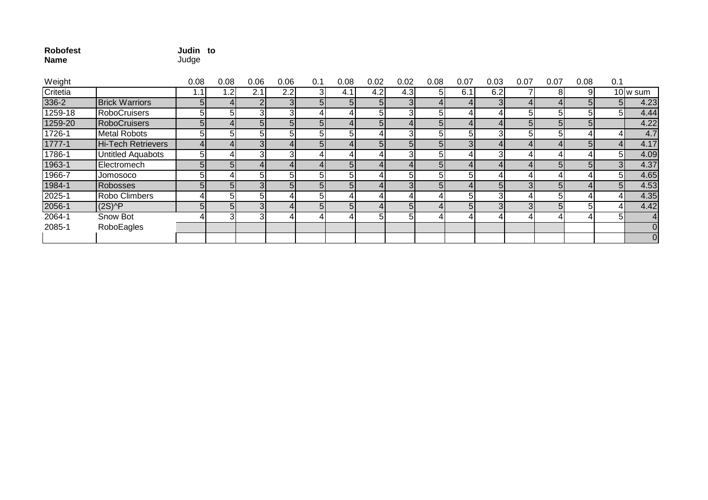| <b>Robofest</b><br><b>Name</b> |                          | Judin to<br>Judge |                |                |                |                |                |                |                |                |                |                |                |      |                |                |                       |
|--------------------------------|--------------------------|-------------------|----------------|----------------|----------------|----------------|----------------|----------------|----------------|----------------|----------------|----------------|----------------|------|----------------|----------------|-----------------------|
| Weight                         |                          | 0.08              | 0.08           | 0.06           | 0.06           | 0.1            | 0.08           | 0.02           | 0.02           | 0.08           | 0.07           | 0.03           | 0.07           | 0.07 | 0.08           | 0.1            |                       |
| Critetia                       |                          | 1.1               | 1.2            | 2.1            | 2.2            |                | 4.1            | 4.2            | 4.3            | 51             | 6.1            | 6.2            |                | 81   | $\overline{9}$ |                | $\overline{10}$ w sum |
| 336-2                          | <b>Brick Warriors</b>    | 5 <sub>l</sub>    |                | $\overline{2}$ | 3 <sup>l</sup> | 5 <sup>1</sup> | 5 <sub>l</sub> | 51             | 3              | 41             |                | 3 <sup>l</sup> | 4              |      | 5 <sub>l</sub> | 5 <sub>1</sub> | 4.23                  |
| 1259-18                        | <b>RoboCruisers</b>      | 51                | 51             | 3 <sub>l</sub> | 3 <sup>l</sup> |                |                | 51             | $\overline{3}$ | 5 <sup>1</sup> |                | 41             | 51             | 51   | 51             | 51             | 4.44                  |
| 1259-20                        | <b>RoboCruisers</b>      | 5 <sub>l</sub>    | 41             | 5 <sub>l</sub> | 5 <sup>1</sup> | 5 <sup>1</sup> |                | 5 <sub>l</sub> | 4              | 5 <sup>1</sup> |                | 41             | 5 <sub>l</sub> | 51   | 5 <sub>l</sub> |                | 4.22                  |
| 1726-1                         | <b>Metal Robots</b>      | 51                | 51             | 5              | 5 <sub>l</sub> |                | 51             |                | 3              | 51             | 51             | 31             | 51             |      |                | 41             | 4.7                   |
| $1777 - 1$                     | Hi-Tech Retrievers       |                   |                | 3 <sub>l</sub> | 41             | 5 <sup>1</sup> |                | 5 <sub>l</sub> | 5 <sub>l</sub> | 5 <sub>1</sub> | 3 <sub>l</sub> | 41             |                |      | 5 <sub>l</sub> | 4 <sub>l</sub> | 4.17                  |
| 1786-1                         | <b>Untitled Aquabots</b> | 51                |                | 3              | $\overline{3}$ |                |                |                | 3 <sup>1</sup> | 51             |                | 31             |                |      |                | 5 <sup>1</sup> | 4.09                  |
| 1963-1                         | Electromech              | 5 <sub>l</sub>    | 51             | $\overline{4}$ | 41             |                | 51             | 4              | 4              | 5 <sub>1</sub> |                | $\Delta$       |                | 51   | 5 <sub>l</sub> | 3 <sup>l</sup> | 4.37                  |
| 1966-7                         | Jomosoco                 | 51                |                | 5              | 5 <sub>1</sub> |                |                |                | 5              | 5 <sub>l</sub> | 51             | 4              |                |      |                | 5 <sup>1</sup> | 4.65                  |
| 1984-1                         | <b>Robosses</b>          | 5 <sub>l</sub>    | 51             | 3 <sub>l</sub> | 5 <sub>l</sub> | 51             |                |                | 3              | 5 <sup>1</sup> |                | 51             | $\overline{3}$ |      |                | 51             | 4.53                  |
| 2025-1                         | Robo Climbers            |                   | 51             | 5              |                |                |                |                |                |                | 5              | 31             |                |      |                | 41             | 4.35                  |
| 2056-1                         | $(2S)$ <sup>^</sup> P    | 5 <sub>l</sub>    | 51             | 3 <sup>1</sup> |                | 5 <sub>l</sub> |                |                | 5 <sub>l</sub> |                | 51             | 3 <sub>l</sub> | 3 <sub>l</sub> |      | 51             | 41             | 4.42                  |
| 2064-1                         | Snow Bot                 |                   | 3 <sub>l</sub> | 3              |                |                |                | 5              | 5              |                |                |                |                |      |                | 51             | $\overline{4}$        |
| 2085-1                         | RoboEagles               |                   |                |                |                |                |                |                |                |                |                |                |                |      |                |                | $\overline{0}$        |

0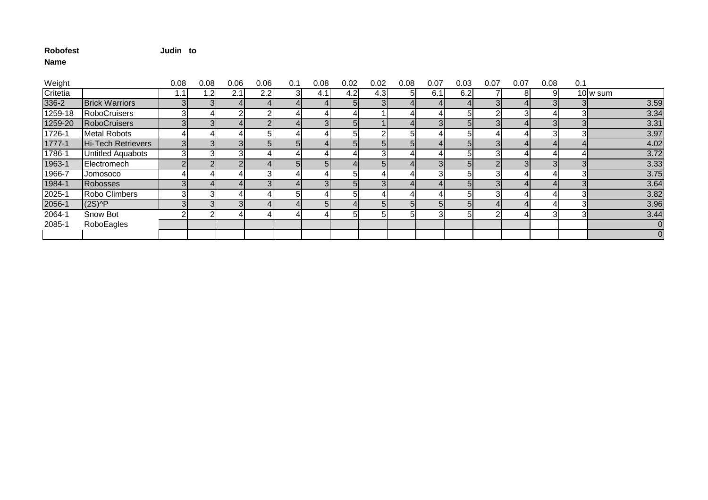## **Judin to**

| Weight   |                       | 0.08 | 0.08 | 0.06 | 0.06 | 0.1          | 0.08           | 0.02 | 0.02 | 0.08           | 0.07 | 0.03           | 0.07         | 0.07           | 0.08 | 0.1 |          |
|----------|-----------------------|------|------|------|------|--------------|----------------|------|------|----------------|------|----------------|--------------|----------------|------|-----|----------|
| Critetia |                       |      | 1.2  | 2.1  | 2.2  | 3            | 4.1            | 4.2  | 4.3  | 51             | 6.1  | 6.2            |              | 8              | 91   |     | 10 w sum |
| 336-2    | <b>Brick Warriors</b> |      |      |      |      |              |                | 51   |      |                |      |                |              |                |      |     | 3.59     |
| 1259-18  | <b>RoboCruisers</b>   |      |      |      |      |              | 4              |      |      |                |      | 5              |              | 31             |      |     | 3.34     |
| 1259-20  | <b>RoboCruisers</b>   |      |      |      |      |              | 3 <sub>l</sub> | 51   |      |                |      |                | 3            |                |      |     | 3.31     |
| 1726-1   | <b>Metal Robots</b>   |      |      |      |      |              |                | 51   |      | ы              |      |                |              |                |      |     | 3.97     |
| 1777-1   | Hi-Tech Retrievers    |      |      |      |      | $\mathbf{5}$ | 4              | 51   |      | 5 <sub>l</sub> |      | 51             |              | $\overline{4}$ |      |     | 4.02     |
| 1786-1   | Untitled Aquabots     |      |      |      |      |              | 4              |      |      |                |      |                |              |                |      |     | 3.72     |
| 1963-1   | Electromech           |      |      |      |      | $\mathbf{5}$ | 5 <sub>l</sub> |      |      |                |      | 5 <sub>1</sub> |              | $\overline{3}$ |      |     | 3.33     |
| 1966-7   | Jomosoco              |      |      |      |      |              | 4              | 51   |      |                |      | 51             |              |                |      |     | 3.75     |
| 1984-1   | <b>Robosses</b>       |      |      |      |      |              | $\overline{3}$ | 51   |      |                |      | 5              | $\mathbf{3}$ |                |      |     | 3.64     |
| 2025-1   | Robo Climbers         |      |      |      |      | 5            |                | 51   |      |                |      |                |              |                |      |     | 3.82     |
| 2056-1   | $(2S)$ <sup>^</sup> P |      |      |      |      |              | 5 <sub>l</sub> |      |      | 5 <sub>l</sub> | 51   | 51             |              |                |      |     | 3.96     |
| 2064-1   | Snow Bot              |      |      |      |      |              |                | 51   |      | 51             |      |                |              |                | 31   |     | 3.44     |
| 2085-1   | RoboEagles            |      |      |      |      |              |                |      |      |                |      |                |              |                |      |     |          |
|          |                       |      |      |      |      |              |                |      |      |                |      |                |              |                |      |     |          |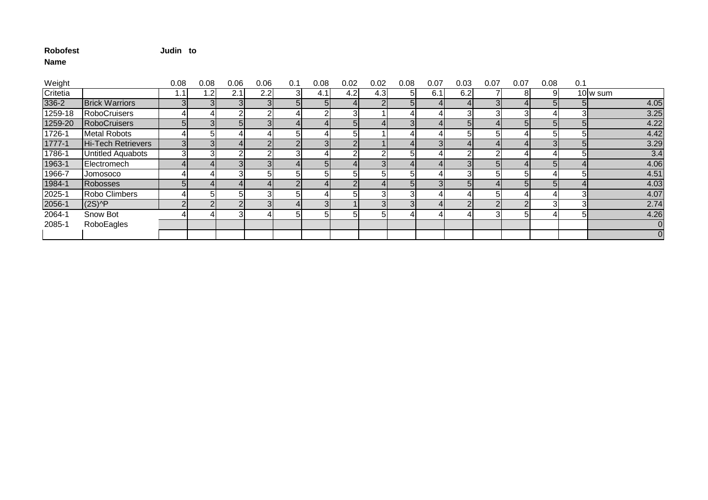## **Judin to**

| Weight   |                       | 0.08 | 0.08 | 0.06 | 0.06 | 0.1             | 0.08           | 0.02 | 0.02 | 0.08           | 0.07 | 0.03 | 0.07           | 0.07 | 0.08 | 0.1 |          |
|----------|-----------------------|------|------|------|------|-----------------|----------------|------|------|----------------|------|------|----------------|------|------|-----|----------|
| Critetia |                       |      | 1.2  | 2.1  | 2.2  | 3               | 4.1            | 4.2  | 4.3  | 51             | 6.1  | 6.2  |                | 8    | 91   |     | 10 w sum |
| 336-2    | <b>Brick Warriors</b> |      |      |      |      | $5\overline{)}$ | 5 <sub>l</sub> |      |      | 51             |      |      |                |      | 51   |     | 4.05     |
| 1259-18  | <b>RoboCruisers</b>   |      |      |      |      |                 |                | 31   |      |                |      |      |                | 31   |      |     | 3.25     |
| 1259-20  | <b>RoboCruisers</b>   |      |      | 51   |      |                 |                |      |      |                |      |      |                | 51   | 51   |     | 4.22     |
| 1726-1   | <b>Metal Robots</b>   |      |      |      |      | 5               |                | 51   |      |                |      |      | 5              |      | 51   |     | 4.42     |
| 1777-1   | Hi-Tech Retrievers    |      |      |      |      |                 | 3 <sup>l</sup> |      |      |                | 31   |      |                | 41   |      |     | 3.29     |
| 1786-1   | Untitled Aquabots     |      |      |      |      | 3               | 4              |      |      |                |      |      |                |      |      |     | 3.4      |
| 1963-1   | Electromech           |      |      |      |      |                 | 5 <sub>l</sub> |      |      |                |      |      | 5 <sub>l</sub> |      | 51   |     | 4.06     |
| 1966-7   | Jomosoco              |      |      |      | וה   | 5               | 51             | 51   |      | ומ             |      |      | 5              | 51   |      |     | 4.51     |
| 1984-1   | <b>Robosses</b>       |      |      |      |      |                 | 4              |      |      | 5 <sub>l</sub> |      |      |                | 51   | 51   |     | 4.03     |
| 2025-1   | Robo Climbers         |      |      |      |      | 5               |                | 51   |      | 31             |      |      | 5              |      |      |     | 4.07     |
| 2056-1   | $(2S)$ <sup>^</sup> P |      |      |      |      | 4               | 3 <sub>l</sub> |      |      |                |      |      |                |      | 31   |     | 2.74     |
| 2064-1   | Snow Bot              |      |      |      |      | 5               | 51             | 51   |      |                |      |      |                | 51   |      |     | 4.26     |
| 2085-1   | RoboEagles            |      |      |      |      |                 |                |      |      |                |      |      |                |      |      |     |          |
|          |                       |      |      |      |      |                 |                |      |      |                |      |      |                |      |      |     |          |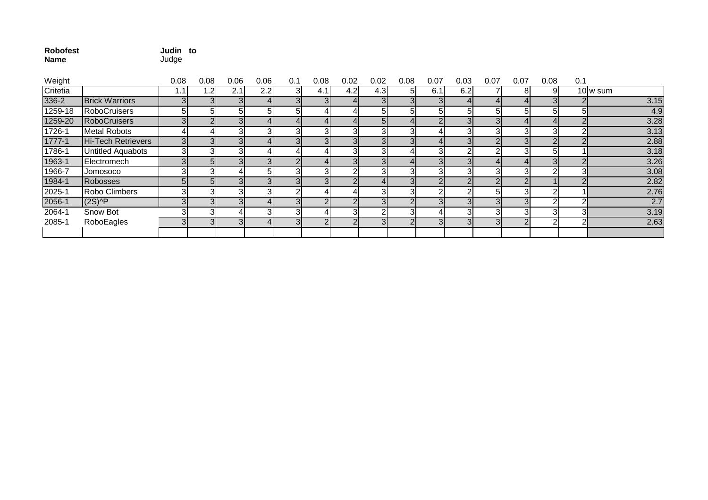| <b>Robofest</b> | Judin to |  |
|-----------------|----------|--|
| <b>Name</b>     | Judge    |  |

| Weight   |                                        | 0.08           | 0.08 | 0.06 | 0.06 | 0.1            | 0.08           | 0.02          | 0.02 | 0.08           | 0.07 | 0.03 | 0.07           | 0.07           | 0.08 | 0.1 |          |
|----------|----------------------------------------|----------------|------|------|------|----------------|----------------|---------------|------|----------------|------|------|----------------|----------------|------|-----|----------|
| Critetia |                                        |                | .2   | 2.1  | 2.2  | ЗI             | 4.1            | 4.2l          | 4.3  | 51             | 6.1  | 6.2  |                | 8              | 91   |     | 10 w sum |
| 336-2    | <b>Brick Warriors</b>                  |                |      |      |      |                | 3 <sup>l</sup> |               |      |                |      |      |                | 41             |      |     | 3.15     |
| 1259-18  | <b>RoboCruisers</b>                    |                |      |      |      |                |                |               |      | 51             |      |      |                |                | 51   |     | 4.9      |
| 1259-20  | RoboCruisers                           |                |      |      |      |                |                |               |      |                |      |      |                |                |      |     | 3.28     |
| 1726-1   | <b>Metal Robots</b>                    |                |      | 31   |      |                | 31             |               |      |                |      |      |                | 31             |      |     | 3.13     |
| 1777-1   | Hi-Tech Retrievers                     | 3 <sup>l</sup> |      |      |      |                | 3 <sub>l</sub> |               |      |                |      |      |                | 3 <sup>l</sup> |      |     | 2.88     |
| 1786-1   | <b>Untitled Aquabots</b>               | 3              |      |      |      |                |                |               |      |                |      |      |                |                | 51   |     | 3.18     |
| 1963-1   | Electromech                            | 3              | 51   |      |      |                |                |               |      |                |      |      |                |                |      |     | 3.26     |
| 1966-7   | Jomosoco                               |                |      |      |      |                | 31             |               |      |                |      |      | 3              | 31             |      |     | 3.08     |
| 1984-1   | Robosses                               | 51             |      |      |      |                | $\overline{3}$ |               |      |                |      |      |                | $\mathcal{D}$  |      |     | 2.82     |
| 2025-1   | Robo Climbers                          |                |      |      |      |                |                |               |      | 3              |      |      | 5              |                |      |     | 2.76     |
| 2056-1   | $(2S)$ <sup><math>\wedge</math>P</sup> | 3              |      |      |      |                | $\overline{2}$ |               |      |                |      |      |                |                |      |     | 2.7      |
| 2064-1   | Snow Bot                               |                |      |      |      |                | 41             |               |      | 3              |      |      |                |                |      |     | 3.19     |
| 2085-1   | RoboEagles                             | 3              | 3    |      |      | $\overline{3}$ | $\overline{2}$ | $\mathcal{D}$ |      | $\overline{2}$ | 31   |      | 3 <sub>l</sub> |                | ົ    |     | 2.63     |
|          |                                        |                |      |      |      |                |                |               |      |                |      |      |                |                |      |     |          |